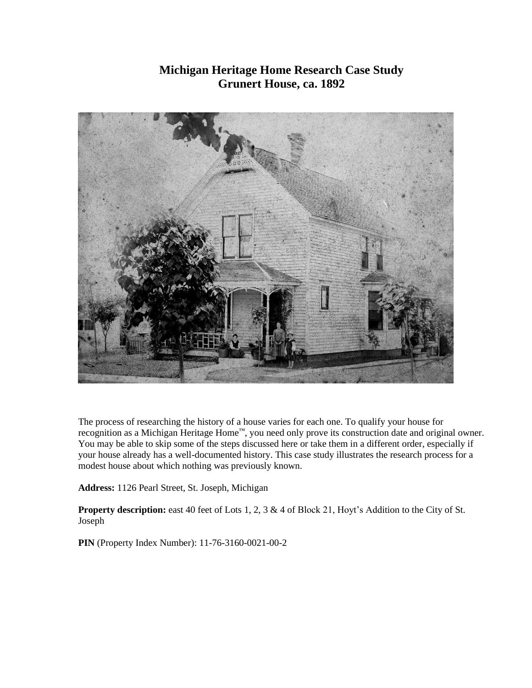# **Michigan Heritage Home Research Case Study Grunert House, ca. 1892**



The process of researching the history of a house varies for each one. To qualify your house for recognition as a Michigan Heritage Home™, you need only prove its construction date and original owner. You may be able to skip some of the steps discussed here or take them in a different order, especially if your house already has a well-documented history. This case study illustrates the research process for a modest house about which nothing was previously known.

**Address:** 1126 Pearl Street, St. Joseph, Michigan

**Property description:** east 40 feet of Lots 1, 2, 3 & 4 of Block 21, Hoyt's Addition to the City of St. Joseph

**PIN** (Property Index Number): 11-76-3160-0021-00-2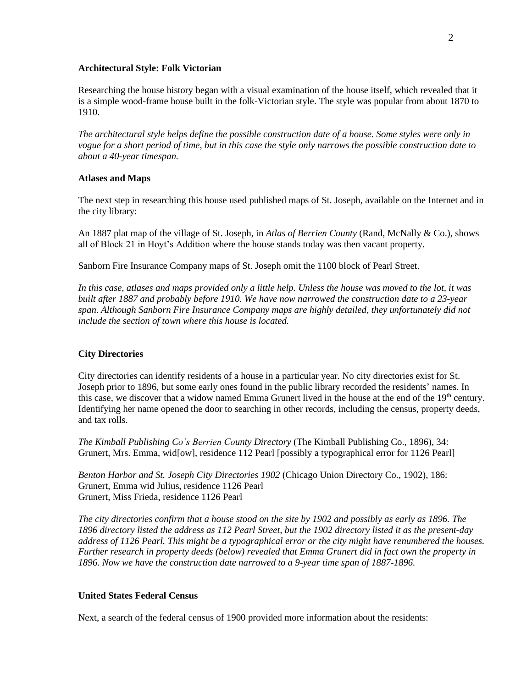#### **Architectural Style: Folk Victorian**

Researching the house history began with a visual examination of the house itself, which revealed that it is a simple wood-frame house built in the folk-Victorian style. The style was popular from about 1870 to 1910.

*The architectural style helps define the possible construction date of a house. Some styles were only in vogue for a short period of time, but in this case the style only narrows the possible construction date to about a 40-year timespan.*

### **Atlases and Maps**

The next step in researching this house used published maps of St. Joseph, available on the Internet and in the city library:

An 1887 plat map of the village of St. Joseph, in *Atlas of Berrien County* (Rand, McNally & Co.), shows all of Block 21 in Hoyt's Addition where the house stands today was then vacant property.

Sanborn Fire Insurance Company maps of St. Joseph omit the 1100 block of Pearl Street.

*In this case, atlases and maps provided only a little help. Unless the house was moved to the lot, it was built after 1887 and probably before 1910. We have now narrowed the construction date to a 23-year span. Although Sanborn Fire Insurance Company maps are highly detailed, they unfortunately did not include the section of town where this house is located.*

### **City Directories**

City directories can identify residents of a house in a particular year. No city directories exist for St. Joseph prior to 1896, but some early ones found in the public library recorded the residents' names. In this case, we discover that a widow named Emma Grunert lived in the house at the end of the 19<sup>th</sup> century. Identifying her name opened the door to searching in other records, including the census, property deeds, and tax rolls.

*The Kimball Publishing Co's Berrien County Directory* (The Kimball Publishing Co., 1896), 34: Grunert, Mrs. Emma, wid[ow], residence 112 Pearl [possibly a typographical error for 1126 Pearl]

*Benton Harbor and St. Joseph City Directories 1902* (Chicago Union Directory Co., 1902), 186: Grunert, Emma wid Julius, residence 1126 Pearl Grunert, Miss Frieda, residence 1126 Pearl

*The city directories confirm that a house stood on the site by 1902 and possibly as early as 1896. The 1896 directory listed the address as 112 Pearl Street, but the 1902 directory listed it as the present-day address of 1126 Pearl. This might be a typographical error or the city might have renumbered the houses. Further research in property deeds (below) revealed that Emma Grunert did in fact own the property in 1896. Now we have the construction date narrowed to a 9-year time span of 1887-1896.*

### **United States Federal Census**

Next, a search of the federal census of 1900 provided more information about the residents: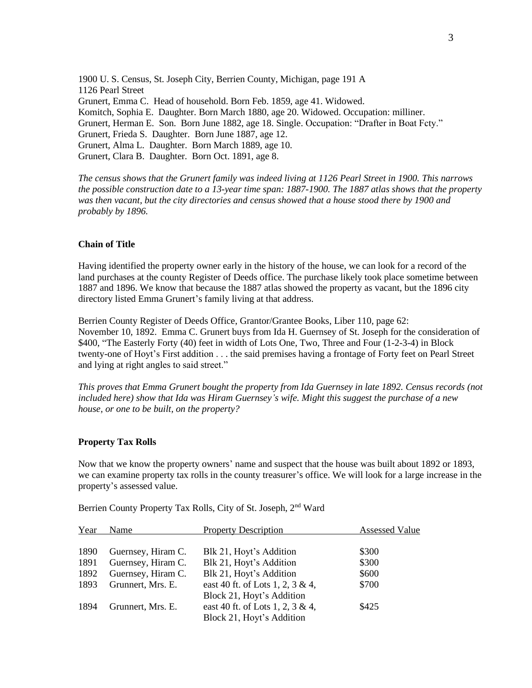1900 U. S. Census, St. Joseph City, Berrien County, Michigan, page 191 A 1126 Pearl Street Grunert, Emma C. Head of household. Born Feb. 1859, age 41. Widowed. Komitch, Sophia E. Daughter. Born March 1880, age 20. Widowed. Occupation: milliner. Grunert, Herman E. Son. Born June 1882, age 18. Single. Occupation: "Drafter in Boat Fcty." Grunert, Frieda S. Daughter. Born June 1887, age 12. Grunert, Alma L. Daughter. Born March 1889, age 10. Grunert, Clara B. Daughter. Born Oct. 1891, age 8.

*The census shows that the Grunert family was indeed living at 1126 Pearl Street in 1900. This narrows the possible construction date to a 13-year time span: 1887-1900. The 1887 atlas shows that the property was then vacant, but the city directories and census showed that a house stood there by 1900 and probably by 1896.*

## **Chain of Title**

Having identified the property owner early in the history of the house, we can look for a record of the land purchases at the county Register of Deeds office. The purchase likely took place sometime between 1887 and 1896. We know that because the 1887 atlas showed the property as vacant, but the 1896 city directory listed Emma Grunert's family living at that address.

Berrien County Register of Deeds Office, Grantor/Grantee Books, Liber 110, page 62: November 10, 1892. Emma C. Grunert buys from Ida H. Guernsey of St. Joseph for the consideration of \$400, "The Easterly Forty (40) feet in width of Lots One, Two, Three and Four (1-2-3-4) in Block twenty-one of Hoyt's First addition . . . the said premises having a frontage of Forty feet on Pearl Street and lying at right angles to said street."

*This proves that Emma Grunert bought the property from Ida Guernsey in late 1892. Census records (not included here) show that Ida was Hiram Guernsey's wife. Might this suggest the purchase of a new house, or one to be built, on the property?*

### **Property Tax Rolls**

Now that we know the property owners' name and suspect that the house was built about 1892 or 1893, we can examine property tax rolls in the county treasurer's office. We will look for a large increase in the property's assessed value.

Berrien County Property Tax Rolls, City of St. Joseph, 2<sup>nd</sup> Ward

| Year | Name               | <b>Property Description</b>      | <b>Assessed Value</b> |
|------|--------------------|----------------------------------|-----------------------|
|      |                    |                                  |                       |
| 1890 | Guernsey, Hiram C. | Blk 21, Hoyt's Addition          | \$300                 |
| 1891 | Guernsey, Hiram C. | Blk 21, Hoyt's Addition          | \$300                 |
| 1892 | Guernsey, Hiram C. | Blk 21, Hoyt's Addition          | \$600                 |
| 1893 | Grunnert, Mrs. E.  | east 40 ft. of Lots 1, 2, 3 & 4, | \$700                 |
|      |                    | Block 21, Hoyt's Addition        |                       |
| 1894 | Grunnert, Mrs. E.  | east 40 ft. of Lots 1, 2, 3 & 4, | \$425                 |
|      |                    | Block 21, Hoyt's Addition        |                       |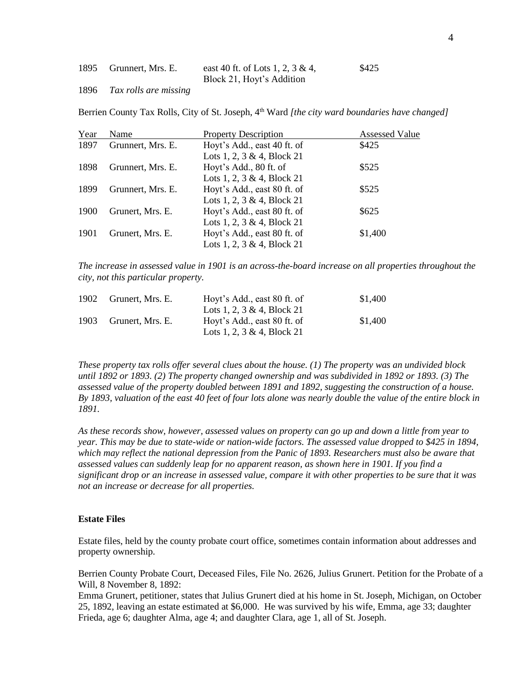| 1895 | Grunnert, Mrs. E. | east 40 ft. of Lots 1, 2, 3 & 4, | \$425 |
|------|-------------------|----------------------------------|-------|
|      |                   | Block 21, Hoyt's Addition        |       |

1896 *Tax rolls are missing*

Berrien County Tax Rolls, City of St. Joseph, 4<sup>th</sup> Ward [the city ward boundaries have changed]

| Year | Name              | <b>Property Description</b> | <b>Assessed Value</b> |
|------|-------------------|-----------------------------|-----------------------|
| 1897 | Grunnert, Mrs. E. | Hoyt's Add., east 40 ft. of | \$425                 |
|      |                   | Lots 1, 2, 3 & 4, Block 21  |                       |
| 1898 | Grunnert, Mrs. E. | Hoyt's Add., 80 ft. of      | \$525                 |
|      |                   | Lots 1, 2, 3 & 4, Block 21  |                       |
| 1899 | Grunnert, Mrs. E. | Hoyt's Add., east 80 ft. of | \$525                 |
|      |                   | Lots 1, 2, 3 & 4, Block 21  |                       |
| 1900 | Grunert, Mrs. E.  | Hoyt's Add., east 80 ft. of | \$625                 |
|      |                   | Lots 1, 2, 3 & 4, Block 21  |                       |
| 1901 | Grunert, Mrs. E.  | Hoyt's Add., east 80 ft. of | \$1,400               |
|      |                   | Lots 1, 2, 3 & 4, Block 21  |                       |

*The increase in assessed value in 1901 is an across-the-board increase on all properties throughout the city, not this particular property.*

|      | 1902 Grunert, Mrs. E. | Hoyt's Add., east 80 ft. of | \$1,400 |
|------|-----------------------|-----------------------------|---------|
|      |                       | Lots 1, 2, 3 & 4, Block 21  |         |
| 1903 | Grunert, Mrs. E.      | Hoyt's Add., east 80 ft. of | \$1.400 |
|      |                       | Lots 1, 2, 3 & 4, Block 21  |         |

*These property tax rolls offer several clues about the house. (1) The property was an undivided block until 1892 or 1893. (2) The property changed ownership and was subdivided in 1892 or 1893. (3) The assessed value of the property doubled between 1891 and 1892, suggesting the construction of a house. By 1893, valuation of the east 40 feet of four lots alone was nearly double the value of the entire block in 1891.*

*As these records show, however, assessed values on property can go up and down a little from year to year. This may be due to state-wide or nation-wide factors. The assessed value dropped to \$425 in 1894, which may reflect the national depression from the Panic of 1893. Researchers must also be aware that assessed values can suddenly leap for no apparent reason, as shown here in 1901. If you find a significant drop or an increase in assessed value, compare it with other properties to be sure that it was not an increase or decrease for all properties.*

### **Estate Files**

Estate files, held by the county probate court office, sometimes contain information about addresses and property ownership.

Berrien County Probate Court, Deceased Files, File No. 2626, Julius Grunert. Petition for the Probate of a Will, 8 November 8, 1892:

Emma Grunert, petitioner, states that Julius Grunert died at his home in St. Joseph, Michigan, on October 25, 1892, leaving an estate estimated at \$6,000. He was survived by his wife, Emma, age 33; daughter Frieda, age 6; daughter Alma, age 4; and daughter Clara, age 1, all of St. Joseph.